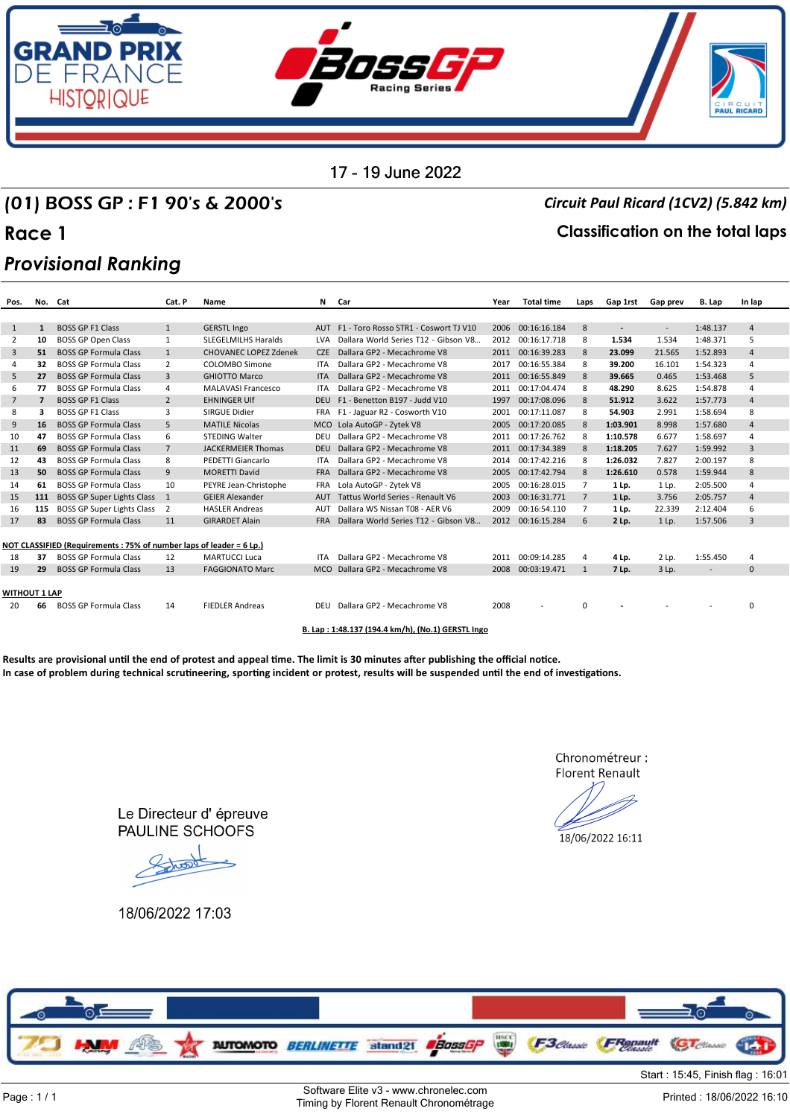

## (01) BOSS GP : F1 90's & 2000's *Circuit Paul Ricard (1CV2) (5.842 km)*

### **Race 1 Classification on the total laps**

## *Provisional Ranking*

| Pos.           | No. Cat        |                                                                      | Cat. P         | <b>Name</b>                |            | N Car                                 | Year | <b>Total time</b> | Laps           | Gap 1rst                 | <b>Gap prev</b>          | B. Lap   | In lap         |
|----------------|----------------|----------------------------------------------------------------------|----------------|----------------------------|------------|---------------------------------------|------|-------------------|----------------|--------------------------|--------------------------|----------|----------------|
|                |                |                                                                      |                |                            |            |                                       |      |                   |                |                          |                          |          |                |
| 1              | $\mathbf{1}$   | <b>BOSS GP E1 Class</b>                                              | 1              | <b>GERSTL Ingo</b>         | <b>AUT</b> | F1 - Toro Rosso STR1 - Coswort TJ V10 | 2006 | 00:16:16.184      | 8              | $\overline{\phantom{a}}$ | $\overline{\phantom{a}}$ | 1:48.137 | $\overline{4}$ |
| 2              | 10             | <b>BOSS GP Open Class</b>                                            | 1              | <b>SLEGELMILHS Haralds</b> | LVA        | Dallara World Series T12 - Gibson V8  | 2012 | 00:16:17.718      | 8              | 1.534                    | 1.534                    | 1:48.371 | 5              |
| 3              | 51             | <b>BOSS GP Formula Class</b>                                         | 1              | CHOVANEC LOPEZ Zdenek      | CZE        | Dallara GP2 - Mecachrome V8           | 2011 | 00:16:39.283      | 8              | 23.099                   | 21.565                   | 1:52.893 | $\overline{4}$ |
| $\overline{a}$ | 32             | <b>BOSS GP Formula Class</b>                                         | $\overline{2}$ | COLOMBO Simone             | <b>ITA</b> | Dallara GP2 - Mecachrome V8           | 2017 | 00:16:55.384      | 8              | 39.200                   | 16.101                   | 1:54.323 | $\overline{a}$ |
| 5              | 27             | <b>BOSS GP Formula Class</b>                                         | 3              | <b>GHIOTTO Marco</b>       | <b>ITA</b> | Dallara GP2 - Mecachrome V8           | 2011 | 00:16:55.849      | 8              | 39.665                   | 0.465                    | 1:53.468 | 5              |
| 6              | 77             | <b>BOSS GP Formula Class</b>                                         | $\Delta$       | MALAVASI Francesco         | <b>ITA</b> | Dallara GP2 - Mecachrome V8           | 2011 | 00:17:04.474      | 8              | 48.290                   | 8.625                    | 1:54.878 | 4              |
| $7^{\circ}$    | $\overline{7}$ | <b>BOSS GP F1 Class</b>                                              | $\overline{2}$ | <b>EHNINGER UIf</b>        | <b>DEU</b> | F1 - Benetton B197 - Judd V10         | 1997 | 00:17:08.096      | 8              | 51.912                   | 3.622                    | 1:57.773 | $\overline{4}$ |
| 8              | 3              | <b>BOSS GP F1 Class</b>                                              | 3              | SIRGUE Didier              | <b>FRA</b> | F1 - Jaguar R2 - Cosworth V10         | 2001 | 00:17:11.087      | 8              | 54.903                   | 2.991                    | 1:58.694 | 8              |
| 9              | 16             | <b>BOSS GP Formula Class</b>                                         | 5              | <b>MATILE Nicolas</b>      | <b>MCO</b> | Lola AutoGP - Zytek V8                | 2005 | 00:17:20.085      | 8              | 1:03.901                 | 8.998                    | 1:57.680 | $\overline{4}$ |
| 10             | 47             | <b>BOSS GP Formula Class</b>                                         | 6              | <b>STEDING Walter</b>      | DEU        | Dallara GP2 - Mecachrome V8           | 2011 | 00:17:26.762      | 8              | 1:10.578                 | 6.677                    | 1:58.697 | 4              |
| 11             | 69             | <b>BOSS GP Formula Class</b>                                         | $\overline{7}$ | <b>JACKERMEIER Thomas</b>  | <b>DEU</b> | Dallara GP2 - Mecachrome V8           | 2011 | 00:17:34.389      | 8              | 1:18.205                 | 7.627                    | 1:59.992 | 3              |
| 12             | 43             | <b>BOSS GP Formula Class</b>                                         | 8              | PEDETTI Giancarlo          | <b>ITA</b> | Dallara GP2 - Mecachrome V8           | 2014 | 00:17:42.216      | 8              | 1:26.032                 | 7.827                    | 2:00.197 | 8              |
| 13             | 50             | <b>BOSS GP Formula Class</b>                                         | 9              | <b>MORETTI David</b>       | <b>FRA</b> | Dallara GP2 - Mecachrome V8           | 2005 | 00:17:42.794      | 8              | 1:26.610                 | 0.578                    | 1:59.944 | 8              |
| 14             | 61             | <b>BOSS GP Formula Class</b>                                         | 10             | PEYRE Jean-Christophe      | <b>FRA</b> | Lola AutoGP - Zytek V8                | 2005 | 00:16:28.015      | 7              | 1 Lp.                    | 1 Lp.                    | 2:05.500 | 4              |
| 15             | 111            | BOSS GP Super Lights Class                                           | $\overline{1}$ | <b>GEIER Alexander</b>     | AUT        | Tattus World Series - Renault V6      | 2003 | 00:16:31.771      | 7              | 1 Lp.                    | 3.756                    | 2:05.757 | $\overline{4}$ |
| 16             | 115            | BOSS GP Super Lights Class                                           | $\overline{2}$ | <b>HASLER Andreas</b>      | AUT        | Dallara WS Nissan T08 - AER V6        | 2009 | 00:16:54.110      | $\overline{7}$ | 1 Lp.                    | 22.339                   | 2:12.404 | 6              |
| 17             | 83             | <b>BOSS GP Formula Class</b>                                         | 11             | <b>GIRARDET Alain</b>      | <b>FRA</b> | Dallara World Series T12 - Gibson V8  | 2012 | 00:16:15.284      | 6              | 2 Lp.                    | 1 Lp.                    | 1:57.506 | 3              |
|                |                |                                                                      |                |                            |            |                                       |      |                   |                |                          |                          |          |                |
|                |                | NOT CLASSIFIED (Requirements : 75% of number laps of leader = 6 Lp.) |                |                            |            |                                       |      |                   |                |                          |                          |          |                |
| 18             | 37             | <b>BOSS GP Formula Class</b>                                         | 12             | <b>MARTUCCI Luca</b>       | <b>ITA</b> | Dallara GP2 - Mecachrome V8           | 2011 | 00:09:14.285      | 4              | 4 Lp.                    | 2 Lp.                    | 1:55.450 | 4              |
| 19             | 29             | <b>BOSS GP Formula Class</b>                                         | 13             | <b>FAGGIONATO Marc</b>     | MCO        | Dallara GP2 - Mecachrome V8           | 2008 | 00:03:19.471      | $\mathbf{1}$   | 7 Lp.                    | 3 Lp.                    |          | $\mathbf{0}$   |
|                |                |                                                                      |                |                            |            |                                       |      |                   |                |                          |                          |          |                |
| WITHOUT 1 LAP  |                |                                                                      |                |                            |            |                                       |      |                   |                |                          |                          |          |                |
| 20             | 66             | <b>BOSS GP Formula Class</b>                                         | 14             | <b>FIEDLER Andreas</b>     | DEU        | Dallara GP2 - Mecachrome V8           | 2008 |                   | $\Omega$       |                          |                          |          | $\Omega$       |
|                |                |                                                                      |                |                            |            |                                       |      |                   |                |                          |                          |          |                |

**B. Lap : 1:48.137 (194.4 km/h), (No.1) GERSTL Ingo**

Results are provisional until the end of protest and appeal time. The limit is 30 minutes after publishing the official notice. In case of problem during technical scrutineering, sporting incident or protest, results will be suspended until the end of investigations.

> Chronométreur : **Florent Renault**

18/06/2022 16:11

Le Directeur d'épreuve **PAULINE SCHOOFS** 

18/06/2022 17:03

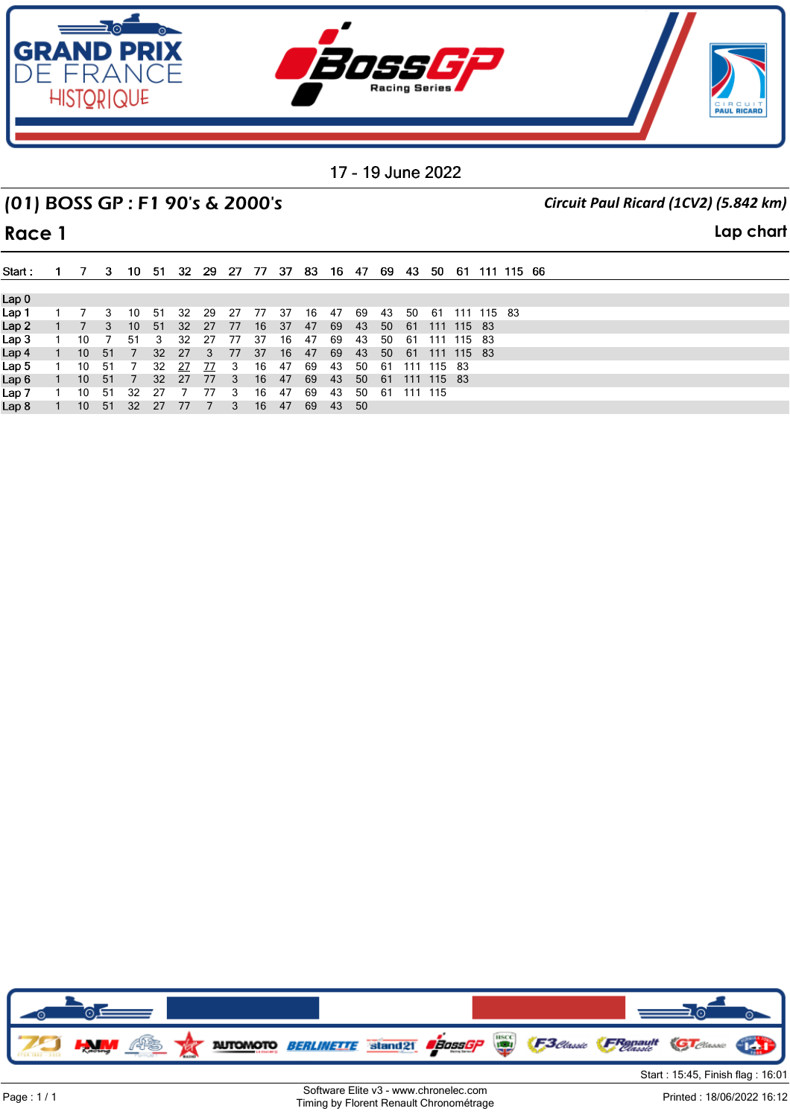

# (01) BOSS GP : F1 90's & 2000's *Circuit Paul Ricard (1CV2) (5.842 km)*

**Race 1 Lap chart**

| Start:           | $\mathbf{1}$   | $\overline{7}$  | 3    | 10  | -51             | -32 | 29 27          |      | - 77 | - 37 | 83. | - 16 | -47  | -69 | - 43 | -50        |            |            | 61 111 115 66 |  |
|------------------|----------------|-----------------|------|-----|-----------------|-----|----------------|------|------|------|-----|------|------|-----|------|------------|------------|------------|---------------|--|
|                  |                |                 |      |     |                 |     |                |      |      |      |     |      |      |     |      |            |            |            |               |  |
| Lap <sub>0</sub> |                |                 |      |     |                 |     |                |      |      |      |     |      |      |     |      |            |            |            |               |  |
| Lap 1            |                |                 |      | 10  | -51             | 32  | -29            | - 27 | 77   | -37  | 16  | 47   | 69   | 43  | 50   | -61        |            | 111 115 83 |               |  |
| Lap <sub>2</sub> |                | - 77            | 3    | 10  | 51              | 32  | 27             | 77   | 16   | 37   | 47  | 69   | -43  | 50  | - 61 | 111 115 83 |            |            |               |  |
| Lap 3            |                | 10              |      | 51  | 3               | 32  | 27             | 77   | 37   | 16   | 47  | 69   | 43   | 50  | -61  |            | 111 115 83 |            |               |  |
| Lap 4            | $\overline{1}$ | 10              | - 51 | 7   | 32 <sup>2</sup> | 27  | 3 <sup>3</sup> | 77   | 37   | 16   | 47  | 69   | 43   | 50  | - 61 | 111 115 83 |            |            |               |  |
| Lap 5            |                | 10              | -51  |     | 32              | 27  | 77             | 3    | 16   | 47   | 69  | 43   | 50   | -61 | 111  | 115 83     |            |            |               |  |
| Lap <sub>6</sub> |                | 10 <sup>°</sup> | - 51 | 7   | 32 <sup>2</sup> | 27  | 77             | 3    | 16   | 47   | 69  | 43   | 50   | 61  |      | 111 115 83 |            |            |               |  |
| Lap 7            |                | 10              | - 51 | -32 | -27             |     | 77             |      | 16   | 47   | 69  | 43   | 50   | -61 |      | 111 115    |            |            |               |  |
| Lap 8            |                | 10 <sup>°</sup> | - 51 | -32 | -27             | 77  |                | 3    | 16   | 47   | 69  | 43   | - 50 |     |      |            |            |            |               |  |

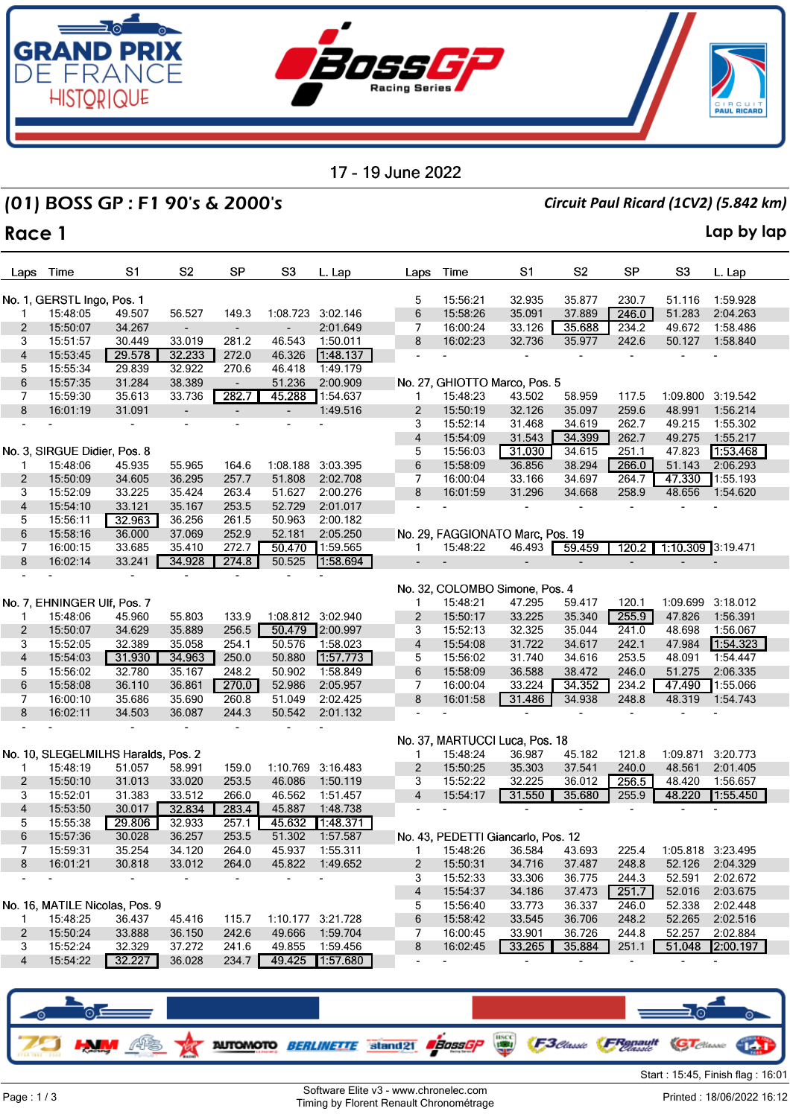

## (01) BOSS GP : F1 90's & 2000's *Circuit Paul Ricard (1CV2) (5.842 km)*

### **Race 1 Lap by lap**

| Laps           | Time                                | S1             | S <sub>2</sub>                             | <b>SP</b>                                            | S3                           | L. Lap               | Laps                     | Time                 | S1                                 | S <sub>2</sub>   | <b>SP</b>      | S3                | L. Lap               |
|----------------|-------------------------------------|----------------|--------------------------------------------|------------------------------------------------------|------------------------------|----------------------|--------------------------|----------------------|------------------------------------|------------------|----------------|-------------------|----------------------|
|                |                                     |                |                                            |                                                      |                              |                      |                          |                      |                                    |                  |                |                   |                      |
|                | No. 1, GERSTL Ingo, Pos. 1          |                |                                            |                                                      |                              |                      | 5                        | 15:56:21             | 32.935                             | 35.877           | 230.7          | 51.116            | 1:59.928             |
| 1              | 15:48:05                            | 49.507         | 56.527                                     | 149.3                                                | 1:08.723                     | 3:02.146             | 6                        | 15:58:26             | 35.091                             | 37.889           | 246.0          | 51.283            | 2:04.263             |
| 2              | 15:50:07                            | 34.267         |                                            |                                                      | $\qquad \qquad \blacksquare$ | 2:01.649             | 7                        | 16:00:24             | 33.126                             | 35.688           | 234.2          | 49.672            | 1:58.486             |
| 3              | 15:51:57                            | 30.449         | 33.019                                     | 281.2                                                | 46.543                       | 1:50.011             | 8                        | 16:02:23             | 32.736                             | 35.977           | 242.6          | 50.127            | 1:58.840             |
| 4              | 15:53:45                            | 29.578         | 32.233                                     | 272.0                                                | 46.326                       | 1:48.137             |                          | ٠                    |                                    |                  |                |                   |                      |
| 5              | 15:55:34                            | 29.839         | 32.922                                     | 270.6                                                | 46.418                       | 1:49.179             |                          |                      |                                    |                  |                |                   |                      |
| 6<br>7         | 15:57:35                            | 31.284         | 38.389                                     |                                                      | 51.236                       | 2:00.909<br>1:54.637 | 1                        |                      | No. 27, GHIOTTO Marco, Pos. 5      |                  | 117.5          |                   | 1:09.800 3:19.542    |
| 8              | 15:59:30                            | 35.613         | 33.736                                     | 282.7                                                | 45.288                       |                      |                          | 15:48:23             | 43.502                             | 58.959           |                |                   |                      |
|                | 16:01:19                            | 31.091         | $\overline{\phantom{a}}$<br>$\blacksquare$ | $\overline{\phantom{a}}$<br>$\overline{\phantom{a}}$ | $\overline{\phantom{a}}$     | 1:49.516             | $\overline{c}$<br>3      | 15:50:19<br>15:52:14 | 32.126<br>31.468                   | 35.097           | 259.6<br>262.7 | 48.991<br>49.215  | 1:56.214<br>1:55.302 |
|                |                                     |                |                                            |                                                      |                              |                      | $\overline{\mathbf{4}}$  | 15:54:09             | 31.543                             | 34.619<br>34.399 | 262.7          | 49.275            | 1:55.217             |
|                | No. 3, SIRGUE Didier, Pos. 8        |                |                                            |                                                      |                              |                      | 5                        | 15:56:03             | 31.030                             | 34.615           | 251.1          | 47.823            | 1:53.468             |
| 1              | 15:48:06                            | 45.935         | 55.965                                     | 164.6                                                | 1:08.188                     | 3:03.395             | 6                        | 15:58:09             | 36.856                             | 38.294           | 266.0          | 51.143            | 2:06.293             |
| 2              | 15:50:09                            | 34.605         | 36.295                                     | 257.7                                                | 51.808                       | 2:02.708             | 7                        | 16:00:04             | 33.166                             | 34.697           | 264.7          | 47.330            | 1:55.193             |
| 3              | 15:52:09                            | 33.225         | 35.424                                     | 263.4                                                | 51.627                       | 2:00.276             | 8                        | 16:01:59             | 31.296                             | 34.668           | 258.9          | 48.656            | 1:54.620             |
| 4              | 15:54:10                            | 33.121         | 35.167                                     | 253.5                                                | 52.729                       | 2:01.017             |                          |                      |                                    |                  |                |                   |                      |
| 5              | 15:56:11                            | 32.963         | 36.256                                     | 261.5                                                | 50.963                       | 2:00.182             |                          |                      |                                    |                  |                |                   |                      |
| 6              | 15:58:16                            | 36.000         | 37.069                                     | 252.9                                                | 52.181                       | 2:05.250             |                          |                      | No. 29, FAGGIONATO Marc, Pos. 19   |                  |                |                   |                      |
| 7              | 16:00:15                            | 33.685         | 35.410                                     | 272.7                                                | 50.470                       | 1:59.565             | 1                        | 15:48:22             | 46.493                             | 59.459           | 120.2          | 1:10.309 3:19.471 |                      |
| 8              | 16:02:14                            | 33.241         | 34.928                                     | 274.8                                                | 50.525                       | 1:58.694             | $\overline{\phantom{0}}$ |                      | $\overline{\phantom{0}}$           |                  |                |                   |                      |
|                |                                     | $\blacksquare$ | $\blacksquare$                             | $\overline{\phantom{a}}$                             |                              |                      |                          |                      |                                    |                  |                |                   |                      |
|                |                                     |                |                                            |                                                      |                              |                      |                          |                      | No. 32, COLOMBO Simone, Pos. 4     |                  |                |                   |                      |
|                | No. 7, EHNINGER Ulf, Pos. 7         |                |                                            |                                                      |                              |                      | 1                        | 15:48:21             | 47.295                             | 59.417           | 120.1          | 1:09.699          | 3:18.012             |
| 1              | 15:48:06                            | 45.960         | 55.803                                     | 133.9                                                |                              | 1:08.812 3:02.940    | $\overline{c}$           | 15:50:17             | 33.225                             | 35.340           | 255.9          | 47.826            | 1:56.391             |
| $\overline{2}$ | 15:50:07                            | 34.629         | 35.889                                     | 256.5                                                | 50.479                       | 2:00.997             | 3                        | 15:52:13             | 32.325                             | 35.044           | 241.0          | 48.698            | 1:56.067             |
| 3              | 15:52:05                            | 32.389         | 35.058                                     | 254.1                                                | 50.576                       | 1:58.023             | 4                        | 15:54:08             | 31.722                             | 34.617           | 242.1          | 47.984            | 1:54.323             |
| 4              | 15:54:03                            | 31.930         | 34.963                                     | 250.0                                                | 50.880                       | 1:57.773             | 5                        | 15:56:02             | 31.740                             | 34.616           | 253.5          | 48.091            | 1:54.447             |
| 5              | 15:56:02                            | 32.780         | 35.167                                     | 248.2                                                | 50.902                       | 1:58.849             | 6                        | 15:58:09             | 36.588                             | 38.472           | 246.0          | 51.275            | 2:06.335             |
| 6              | 15:58:08                            | 36.110         | 36.861                                     | 270.0                                                | 52.986                       | 2:05.957             | 7                        | 16:00:04             | 33.224                             | 34.352           | 234.2          | 47.490            | 1:55.066             |
| 7              | 16:00:10                            | 35.686         | 35.690                                     | 260.8                                                | 51.049                       | 2:02.425             | 8                        | 16:01:58             | 31.486                             | 34.938           | 248.8          | 48.319            | 1:54.743             |
| 8              | 16:02:11                            | 34.503         | 36.087                                     | 244.3                                                | 50.542                       | 2:01.132             |                          |                      |                                    |                  |                |                   |                      |
|                |                                     |                |                                            |                                                      |                              |                      |                          |                      |                                    |                  |                |                   |                      |
|                |                                     |                |                                            |                                                      |                              |                      |                          |                      | No. 37, MARTUCCI Luca, Pos. 18     |                  |                |                   |                      |
|                | No. 10, SLEGELMILHS Haralds, Pos. 2 |                |                                            |                                                      |                              |                      | 1                        | 15:48:24             | 36.987                             | 45.182           | 121.8          | 1:09.871          | 3:20.773             |
| 1              | 15:48:19                            | 51.057         | 58.991                                     | 159.0                                                | 1:10.769                     | 3:16.483             | $\overline{c}$           | 15:50:25             | 35.303                             | 37.541           | 240.0          | 48.561            | 2:01.405             |
| $\overline{2}$ | 15:50:10                            | 31.013         | 33.020                                     | 253.5                                                | 46.086                       | 1:50.119             | 3                        | 15:52:22             | 32.225                             | 36.012           | 256.5          | 48.420            | 1:56.657             |
| 3              | 15:52:01                            | 31.383         | 33.512                                     | 266.0                                                | 46.562                       | 1:51.457             | $\overline{\mathbf{4}}$  | 15:54:17             | 31.550                             | 35.680           | 255.9          | 48.220            | 1:55.450             |
| 4              | 15:53:50                            | 30.017         | 32.834                                     | 283.4                                                | 45.887                       | 1:48.738             |                          |                      |                                    |                  |                |                   |                      |
| 5              | 15:55:38                            | 29.806         | 32.933                                     | 257.1                                                | 45.632                       | 1:48.371             |                          |                      |                                    |                  |                |                   |                      |
| 6              | 15:57:36                            | 30.028         | 36.257                                     | 253.5                                                | 51.302                       | 1:57.587             |                          |                      | No. 43, PEDETTI Giancarlo, Pos. 12 |                  |                |                   |                      |
| 7              | 15:59:31                            | 35.254         | 34.120                                     | 264.0                                                |                              | 45.937 1:55.311      |                          |                      | 1  15:48:26  36.584  43.693        |                  | 225.4          |                   | 1:05.818 3:23.495    |
| 8              | 16:01:21                            | 30.818         | 33.012                                     | 264.0                                                | 45.822                       | 1:49.652             | 2                        | 15:50:31             | 34.716                             | 37.487           | 248.8          | 52.126            | 2:04.329             |
|                |                                     |                |                                            |                                                      |                              |                      | 3                        | 15:52:33             | 33.306                             | 36.775           | 244.3          | 52.591            | 2:02.672             |
|                |                                     |                |                                            |                                                      |                              |                      | 4                        | 15:54:37             | 34.186                             | 37.473           | 251.7          | 52.016            | 2:03.675             |
|                | No. 16, MATILE Nicolas, Pos. 9      |                |                                            |                                                      |                              |                      | 5                        | 15:56:40             | 33.773                             | 36.337           | 246.0          | 52.338            | 2:02.448             |
| $\mathbf{1}$   | 15:48:25                            | 36.437         | 45.416                                     | 115.7                                                |                              | 1:10.177 3:21.728    | 6                        | 15:58:42             | 33.545                             | 36.706           | 248.2          | 52.265            | 2:02.516             |
| $\mathbf{2}$   | 15:50:24                            | 33.888         | 36.150                                     | 242.6                                                | 49.666                       | 1:59.704             | 7                        | 16:00:45             | 33.901                             | 36.726           | 244.8          | 52.257            | 2:02.884             |
| 3              | 15:52:24                            | 32.329         | 37.272                                     | 241.6                                                | 49.855                       | 1:59.456             | 8                        | 16:02:45             | 33.265                             | 35.884           | 251.1          |                   | 51.048 2:00.197      |
| 4              | 15:54:22                            | 32.227         | 36.028                                     | 234.7                                                | 49.425                       | 1:57.680             |                          |                      |                                    |                  |                |                   |                      |
|                |                                     |                |                                            |                                                      |                              |                      |                          |                      |                                    |                  |                |                   |                      |

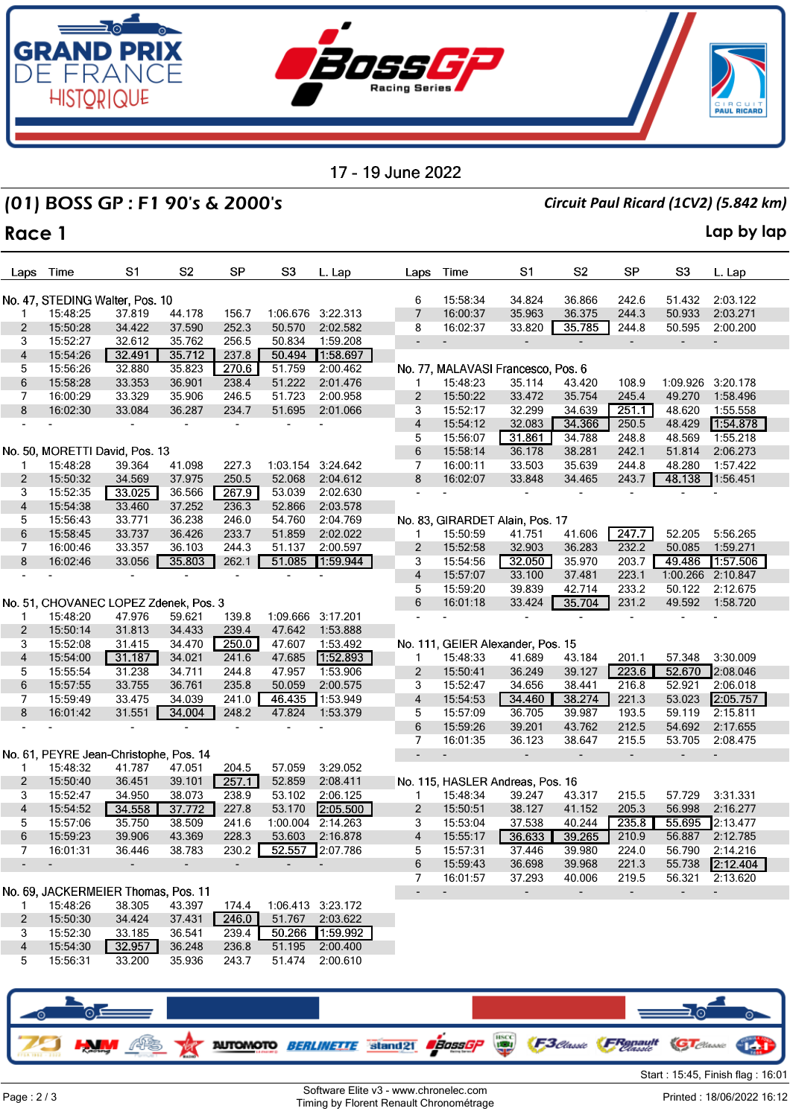

# (01) BOSS GP : F1 90's & 2000's *Circuit Paul Ricard (1CV2) (5.842 km)*

### **Race 1 Lap by lap**

| Laps                    | Time     | S1                                        | S <sub>2</sub> | SP    | S <sub>3</sub>    | L. Lap            | Laps                     | Time                 | S1                                 | S <sub>2</sub>           | <b>SP</b>      | S <sub>3</sub>                                       | L. Lap                               |
|-------------------------|----------|-------------------------------------------|----------------|-------|-------------------|-------------------|--------------------------|----------------------|------------------------------------|--------------------------|----------------|------------------------------------------------------|--------------------------------------|
|                         |          |                                           |                |       |                   |                   |                          |                      |                                    |                          |                |                                                      |                                      |
| 1                       | 15:48:25 | No. 47, STEDING Walter, Pos. 10<br>37.819 | 44.178         | 156.7 |                   | 1:06.676 3:22.313 | 6<br>$\overline{7}$      | 15:58:34<br>16:00:37 | 34.824<br>35.963                   | 36.866<br>36.375         | 242.6<br>244.3 | 51.432<br>50.933                                     | 2:03.122<br>2:03.271                 |
| 2                       | 15:50:28 | 34.422                                    | 37.590         | 252.3 | 50.570            | 2:02.582          | 8                        | 16:02:37             | 33.820                             | 35.785                   | 244.8          | 50.595                                               | 2:00.200                             |
| 3                       | 15:52:27 | 32.612                                    | 35.762         | 256.5 | 50.834            | 1:59.208          |                          |                      |                                    |                          |                |                                                      |                                      |
| $\overline{\mathbf{4}}$ | 15:54:26 | 32.491                                    | 35.712         | 237.8 | 50.494            | 1:58.697          |                          |                      |                                    |                          |                |                                                      |                                      |
| 5                       | 15:56:26 | 32.880                                    | 35.823         | 270.6 | 51.759            | 2:00.462          |                          |                      | No. 77, MALAVASI Francesco, Pos. 6 |                          |                |                                                      |                                      |
| 6                       | 15:58:28 | 33.353                                    | 36.901         | 238.4 | 51.222            | 2:01.476          | 1                        | 15:48:23             | 35.114                             | 43.420                   | 108.9          | 1:09.926                                             | 3:20.178                             |
| 7                       | 16:00:29 | 33.329                                    | 35.906         | 246.5 | 51.723            | 2:00.958          | $\overline{2}$           | 15:50:22             | 33.472                             | 35.754                   | 245.4          | 49.270                                               | 1:58.496                             |
| 8                       | 16:02:30 | 33.084                                    | 36.287         | 234.7 | 51.695            | 2:01.066          | 3                        | 15:52:17             | 32.299                             | 34.639                   | 251.1          | 48.620                                               | 1:55.558                             |
|                         |          |                                           |                |       |                   |                   | 4                        | 15:54:12             | 32.083                             | 34.366                   | 250.5          | 48.429                                               | 1:54.878                             |
|                         |          |                                           |                |       |                   |                   | 5                        | 15:56:07             | 31.861                             | 34.788                   | 248.8          | 48.569                                               | 1:55.218                             |
|                         |          | No. 50, MORETTI David, Pos. 13            |                |       |                   |                   | 6                        | 15:58:14             | 36.178                             | 38.281                   | 242.1          | 51.814                                               | 2:06.273                             |
| 1                       | 15:48:28 | 39.364                                    | 41.098         | 227.3 | 1:03.154          | 3:24.642          | 7                        | 16:00:11             | 33.503                             | 35.639                   | 244.8          | 48.280                                               | 1:57.422                             |
| $\overline{2}$          | 15:50:32 | 34.569                                    | 37.975         | 250.5 | 52.068            | 2:04.612          | 8                        | 16:02:07             | 33.848                             | 34.465                   | 243.7          | 48.138                                               | 1:56.451                             |
| 3                       | 15:52:35 | 33.025                                    | 36.566         | 267.9 | 53.039            | 2:02.630          | ÷,                       |                      |                                    |                          |                |                                                      |                                      |
| $\overline{\mathbf{4}}$ | 15:54:38 | 33.460                                    | 37.252         | 236.3 | 52.866            | 2:03.578          |                          |                      |                                    |                          |                |                                                      |                                      |
| 5                       | 15:56:43 | 33.771                                    | 36.238         | 246.0 | 54.760            | 2:04.769          |                          |                      | No. 83, GIRARDET Alain, Pos. 17    |                          |                |                                                      |                                      |
| 6                       | 15:58:45 | 33.737                                    | 36.426         | 233.7 | 51.859            | 2:02.022          | $\mathbf{1}$             | 15:50:59             | 41.751                             | 41.606                   | 247.7          | 52.205                                               | 5:56.265                             |
| 7                       | 16:00:46 | 33.357                                    | 36.103         | 244.3 | 51.137            | 2:00.597          | $\overline{2}$           | 15:52:58             | 32.903                             | 36.283                   | 232.2          | 50.085                                               | 1:59.271                             |
| 8                       | 16:02:46 | 33.056                                    | 35.803         | 262.1 | 51.085            | 1:59.944          | 3                        | 15:54:56             | 32.050                             | 35.970                   | 203.7          | 49.486                                               | 1:57.506                             |
|                         |          | $\overline{\phantom{a}}$                  |                |       |                   |                   | $\overline{\mathbf{4}}$  | 15:57:07             | 33.100                             | 37.481                   | 223.1          | 1:00.266                                             | 2:10.847                             |
|                         |          | No. 51, CHOVANEC LOPEZ Zdenek, Pos. 3     |                |       |                   |                   | 5<br>6                   | 15:59:20<br>16:01:18 | 39.839<br>33.424                   | 42.714<br>35.704         | 233.2<br>231.2 | 50.122<br>49.592                                     | 2:12.675<br>1:58.720                 |
| -1                      | 15:48:20 | 47.976                                    | 59.621         | 139.8 | 1:09.666 3:17.201 |                   |                          |                      | $\blacksquare$                     |                          |                |                                                      |                                      |
| 2                       | 15:50:14 | 31.813                                    | 34.433         | 239.4 | 47.642            | 1:53.888          |                          |                      |                                    |                          |                |                                                      |                                      |
| 3                       | 15:52:08 | 31.415                                    | 34.470         | 250.0 | 47.607            | 1:53.492          |                          |                      | No. 111, GEIER Alexander, Pos. 15  |                          |                |                                                      |                                      |
| $\overline{4}$          | 15:54:00 | 31.187                                    | 34.021         | 241.6 | 47.685            | 1:52.893          | $\mathbf{1}$             | 15:48:33             | 41.689                             | 43.184                   | 201.1          | 57.348                                               | 3:30.009                             |
| 5                       | 15:55:54 | 31.238                                    | 34.711         | 244.8 | 47.957            | 1:53.906          | $\overline{2}$           | 15:50:41             | 36.249                             | 39.127                   | 223.6          | 52.670                                               | 2:08.046                             |
| 6                       | 15:57:55 | 33.755                                    | 36.761         | 235.8 | 50.059            | 2:00.575          | 3                        | 15:52:47             | 34.656                             | 38.441                   | 216.8          | 52.921                                               | 2:06.018                             |
| 7                       | 15:59:49 | 33.475                                    | 34.039         | 241.0 | 46.435            | 1:53.949          | $\overline{4}$           | 15:54:53             | 34.460                             | 38.274                   | 221.3          | 53.023                                               | 2:05.757                             |
| 8                       | 16:01:42 | 31.551                                    | 34.004         | 248.2 | 47.824            | 1:53.379          | 5                        | 15:57:09             | 36.705                             | 39.987                   | 193.5          | 59.119                                               | 2:15.811                             |
|                         |          |                                           |                |       |                   |                   | 6                        | 15:59:26             | 39.201                             | 43.762                   | 212.5          | 54.692                                               | 2:17.655                             |
|                         |          |                                           |                |       |                   |                   | 7                        | 16:01:35             | 36.123                             | 38.647                   | 215.5          | 53.705                                               | 2:08.475                             |
|                         |          | No. 61, PEYRE Jean-Christophe, Pos. 14    |                |       |                   |                   | $\overline{\phantom{a}}$ |                      |                                    | $\overline{\phantom{a}}$ |                |                                                      |                                      |
| -1                      | 15:48:32 | 41.787                                    | 47.051         | 204.5 | 57.059            | 3:29.052          |                          |                      |                                    |                          |                |                                                      |                                      |
| $\overline{c}$          | 15:50:40 | 36.451                                    | 39.101         | 257.1 | 52.859            | 2:08.411          |                          |                      | No. 115, HASLER Andreas, Pos. 16   |                          |                |                                                      |                                      |
| 3                       | 15:52:47 | 34.950                                    | 38.073         | 238.9 | 53.102            | 2:06.125          | 1                        | 15:48:34             | 39.247                             | 43.317                   | 215.5          | 57.729                                               | 3:31.331                             |
| $\overline{4}$          | 15:54:52 | 34.558                                    | 37.772         | 227.8 | 53.170            | 2:05.500          | $\overline{2}$           | 15:50:51             | 38.127                             | 41.152                   | 205.3          | 56.998                                               | 2:16.277                             |
| 5                       | 15:57:06 | 35.750                                    | 38.509         | 241.6 | 1:00.004          | 2:14.263          | 3                        | 15:53:04             | 37.538                             | 40.244                   | 235.8          | 55.695                                               | 2:13.477                             |
| 6                       | 15:59:23 | 39.906                                    | 43.369         | 228.3 | 53.603            | 2:16.878          | 4                        | 15:55:17             | 36.633                             | 39.265                   | 210.9          | 56.887                                               | 2:12.785                             |
|                         | 16:01:31 | 36.446                                    | 38.783         | 230.2 |                   | 52.557 2:07.786   | 5                        | 15:57:31             | 37.446                             | 39.980                   | 224.0          | 56.790                                               | 2:14.216                             |
|                         |          |                                           |                |       |                   |                   | 6                        | 15:59:43             | 36.698                             | 39.968                   | 221.3          | 55.738                                               | 2:12.404                             |
|                         |          | No. 69, JACKERMEIER Thomas, Pos. 11       |                |       |                   |                   | 7                        | 16:01:57             | 37.293<br>$\sim$                   | 40.006                   | 219.5          | 56.321                                               | 2:13.620<br>$\overline{\phantom{a}}$ |
| 1                       | 15:48:26 | 38.305                                    | 43.397         | 174.4 |                   | 1:06.413 3:23.172 |                          |                      |                                    | $\overline{\phantom{a}}$ | $\sim$         | $\overline{\phantom{a}}$                             |                                      |
| $\overline{2}$          | 15:50:30 | 34.424                                    | 37.431         | 246.0 | 51.767            | 2:03.622          |                          |                      |                                    |                          |                |                                                      |                                      |
| 3                       | 15:52:30 | 33.185                                    | 36.541         | 239.4 | 50.266            | 1:59.992          |                          |                      |                                    |                          |                |                                                      |                                      |
| 4                       | 15:54:30 | 32.957                                    | 36.248         | 236.8 | 51.195            | 2:00.400          |                          |                      |                                    |                          |                |                                                      |                                      |
| 5                       | 15:56:31 | 33.200                                    | 35.936         | 243.7 | 51.474            | 2:00.610          |                          |                      |                                    |                          |                |                                                      |                                      |
|                         |          |                                           |                |       |                   |                   |                          |                      |                                    |                          |                |                                                      |                                      |
|                         |          |                                           |                |       |                   |                   |                          |                      |                                    |                          |                |                                                      |                                      |
|                         |          |                                           |                |       |                   |                   |                          |                      |                                    |                          |                |                                                      |                                      |
|                         |          | ेंटे                                      |                |       |                   |                   |                          |                      |                                    |                          |                | $\Longrightarrow$ $\circ$ $\overline{\phantom{a}}$ . |                                      |

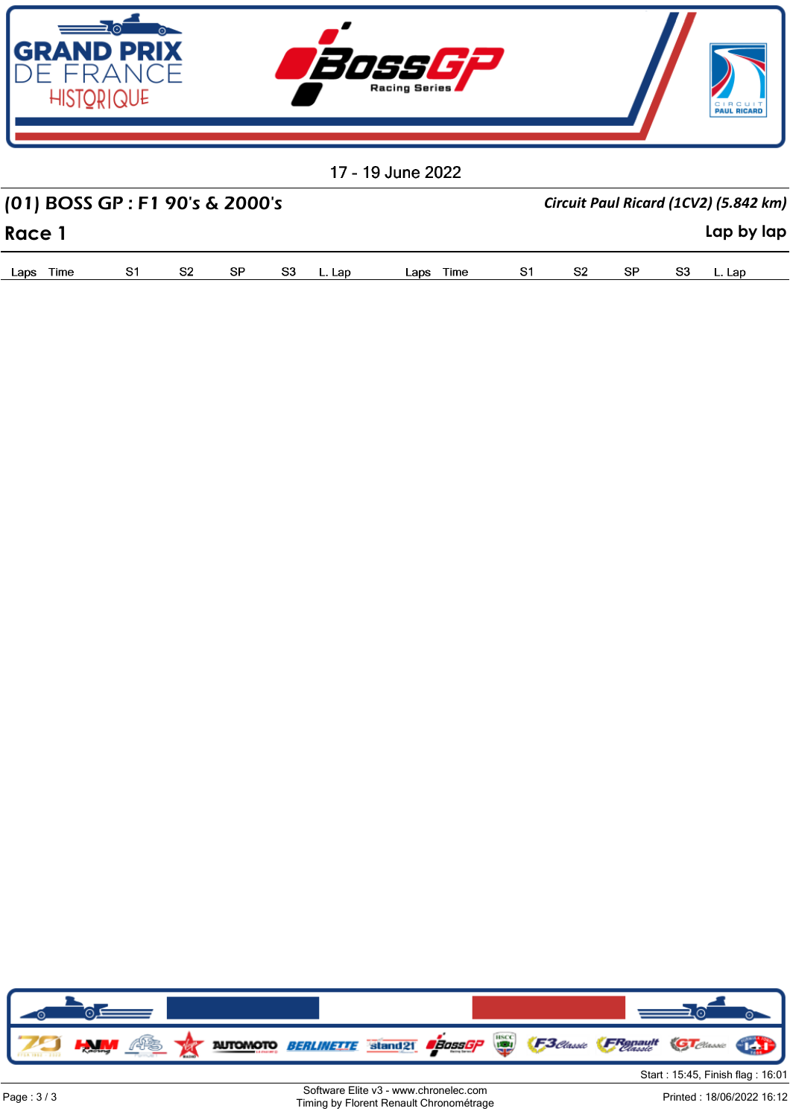

| (01) BOSS GP : F1 90's & 2000's |    |  |  | Circuit Paul Ricard (1CV2) (5.842 km) |  |  |     |  |            |  |  |  |
|---------------------------------|----|--|--|---------------------------------------|--|--|-----|--|------------|--|--|--|
| Race 1                          |    |  |  |                                       |  |  |     |  | Lap by lap |  |  |  |
| Time<br>l ans l                 | S2 |  |  | Lans Time                             |  |  | -SP |  |            |  |  |  |